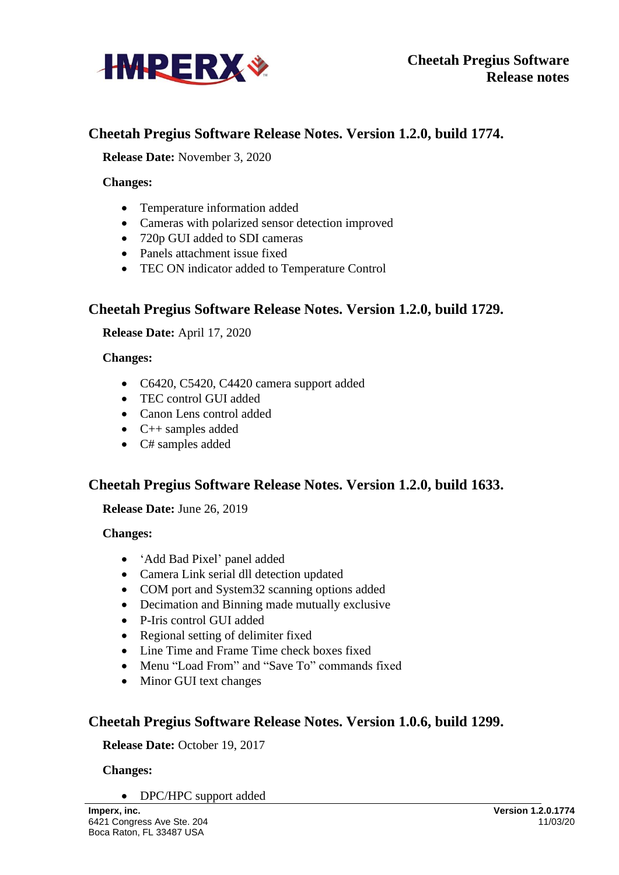

# **Cheetah Pregius Software Release Notes. Version 1.2.0, build 1774.**

**Release Date:** November 3, 2020

**Changes:**

- Temperature information added
- Cameras with polarized sensor detection improved
- 720p GUI added to SDI cameras
- Panels attachment issue fixed
- TEC ON indicator added to Temperature Control

## **Cheetah Pregius Software Release Notes. Version 1.2.0, build 1729.**

**Release Date:** April 17, 2020

#### **Changes:**

- C6420, C5420, C4420 camera support added
- TEC control GUI added
- Canon Lens control added
- $\bullet$  C++ samples added
- C# samples added

## **Cheetah Pregius Software Release Notes. Version 1.2.0, build 1633.**

**Release Date:** June 26, 2019

### **Changes:**

- 'Add Bad Pixel' panel added
- Camera Link serial dll detection updated
- COM port and System 32 scanning options added
- Decimation and Binning made mutually exclusive
- P-Iris control GUI added
- Regional setting of delimiter fixed
- Line Time and Frame Time check boxes fixed
- Menu "Load From" and "Save To" commands fixed
- Minor GUI text changes

## **Cheetah Pregius Software Release Notes. Version 1.0.6, build 1299.**

### **Release Date:** October 19, 2017

### **Changes:**

• DPC/HPC support added